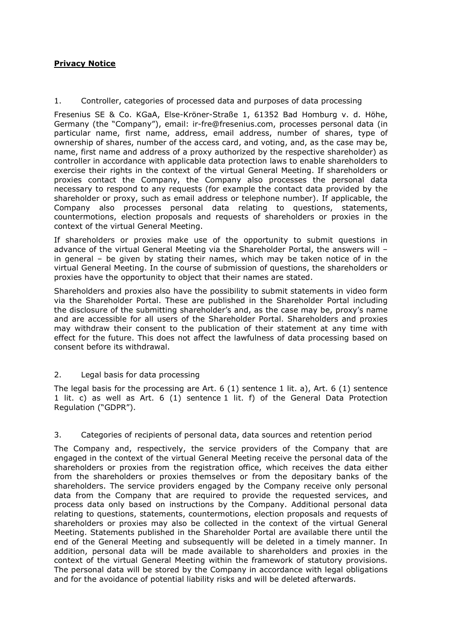## **Privacy Notice**

1. Controller, categories of processed data and purposes of data processing

Fresenius SE & Co. KGaA, Else-Kröner-Straße 1, 61352 Bad Homburg v. d. Höhe, Germany (the "Company"), email: ir-fre@fresenius.com, processes personal data (in particular name, first name, address, email address, number of shares, type of ownership of shares, number of the access card, and voting, and, as the case may be, name, first name and address of a proxy authorized by the respective shareholder) as controller in accordance with applicable data protection laws to enable shareholders to exercise their rights in the context of the virtual General Meeting. If shareholders or proxies contact the Company, the Company also processes the personal data necessary to respond to any requests (for example the contact data provided by the shareholder or proxy, such as email address or telephone number). If applicable, the Company also processes personal data relating to questions, statements, countermotions, election proposals and requests of shareholders or proxies in the context of the virtual General Meeting.

If shareholders or proxies make use of the opportunity to submit questions in advance of the virtual General Meeting via the Shareholder Portal, the answers will – in general – be given by stating their names, which may be taken notice of in the virtual General Meeting. In the course of submission of questions, the shareholders or proxies have the opportunity to object that their names are stated.

Shareholders and proxies also have the possibility to submit statements in video form via the Shareholder Portal. These are published in the Shareholder Portal including the disclosure of the submitting shareholder's and, as the case may be, proxy's name and are accessible for all users of the Shareholder Portal. Shareholders and proxies may withdraw their consent to the publication of their statement at any time with effect for the future. This does not affect the lawfulness of data processing based on consent before its withdrawal.

2. Legal basis for data processing

The legal basis for the processing are Art. 6 (1) sentence 1 lit. a), Art. 6 (1) sentence 1 lit. c) as well as Art. 6 (1) sentence 1 lit. f) of the General Data Protection Regulation ("GDPR").

3. Categories of recipients of personal data, data sources and retention period

The Company and, respectively, the service providers of the Company that are engaged in the context of the virtual General Meeting receive the personal data of the shareholders or proxies from the registration office, which receives the data either from the shareholders or proxies themselves or from the depositary banks of the shareholders. The service providers engaged by the Company receive only personal data from the Company that are required to provide the requested services, and process data only based on instructions by the Company. Additional personal data relating to questions, statements, countermotions, election proposals and requests of shareholders or proxies may also be collected in the context of the virtual General Meeting. Statements published in the Shareholder Portal are available there until the end of the General Meeting and subsequently will be deleted in a timely manner. In addition, personal data will be made available to shareholders and proxies in the context of the virtual General Meeting within the framework of statutory provisions. The personal data will be stored by the Company in accordance with legal obligations and for the avoidance of potential liability risks and will be deleted afterwards.